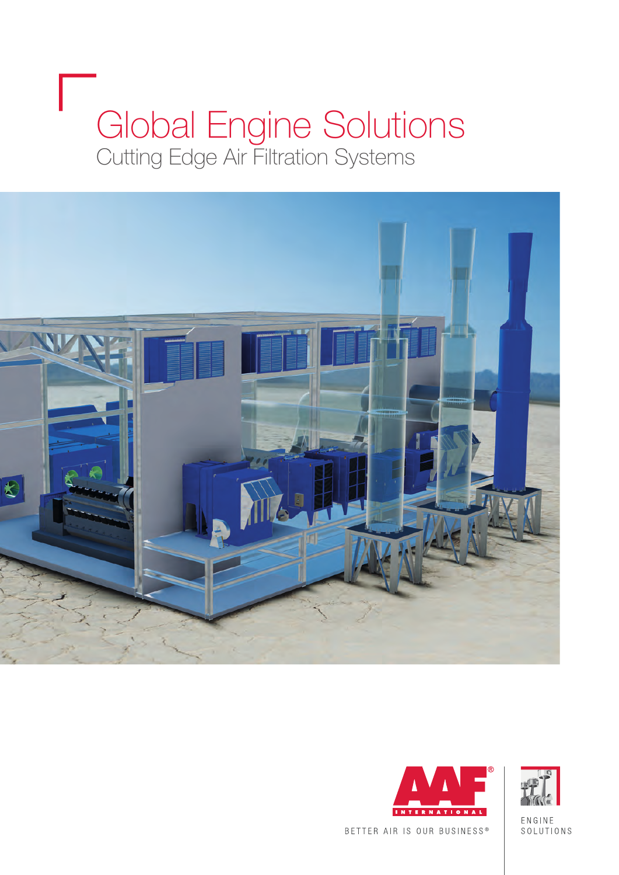# Global Engine Solutions<br>Cutting Edge Air Filtration Systems







ENGINE SOLUTIONS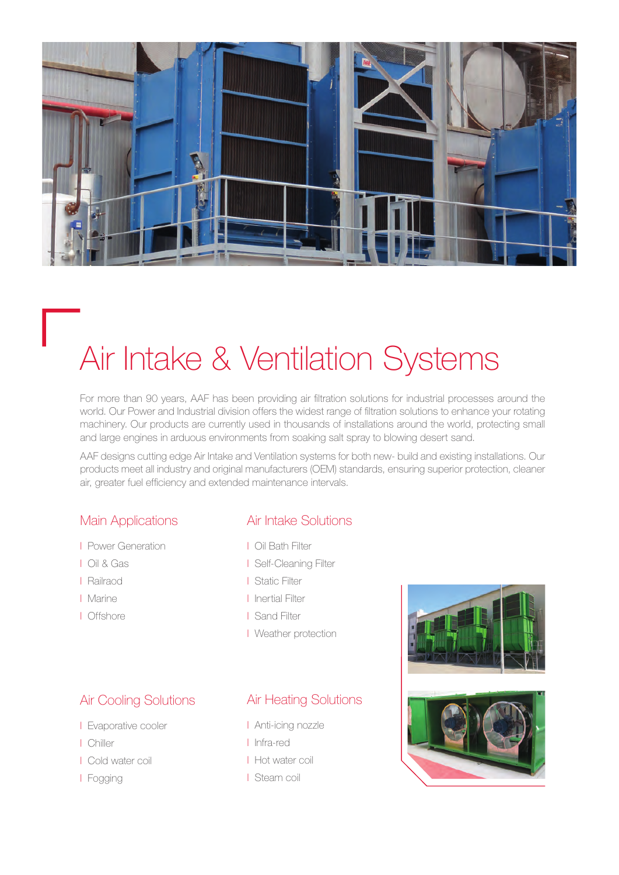

## Air Intake & Ventilation Systems

For more than 90 years, AAF has been providing air filtration solutions for industrial processes around the world. Our Power and Industrial division offers the widest range of filtration solutions to enhance your rotating machinery. Our products are currently used in thousands of installations around the world, protecting small and large engines in arduous environments from soaking salt spray to blowing desert sand.

AAF designs cutting edge Air Intake and Ventilation systems for both new- build and existing installations. Our products meet all industry and original manufacturers (OEM) standards, ensuring superior protection, cleaner air, greater fuel efficiency and extended maintenance intervals.

#### Main Applications

- I Power Generation
- I Oil & Gas
- I Railraod
- I Marine
- I Offshore

### Air Intake Solutions

- I Oil Bath Filter
- I Self-Cleaning Filter
- I Static Filter
- I Inertial Filter
- I Sand Filter
- I Weather protection

### Air Cooling Solutions

- I Evaporative cooler
- I Chiller
- I Cold water coil
- I Fogging

### Air Heating Solutions

- I Anti-icing nozzle
- I Infra-red
- I Hot water coil
- I Steam coil



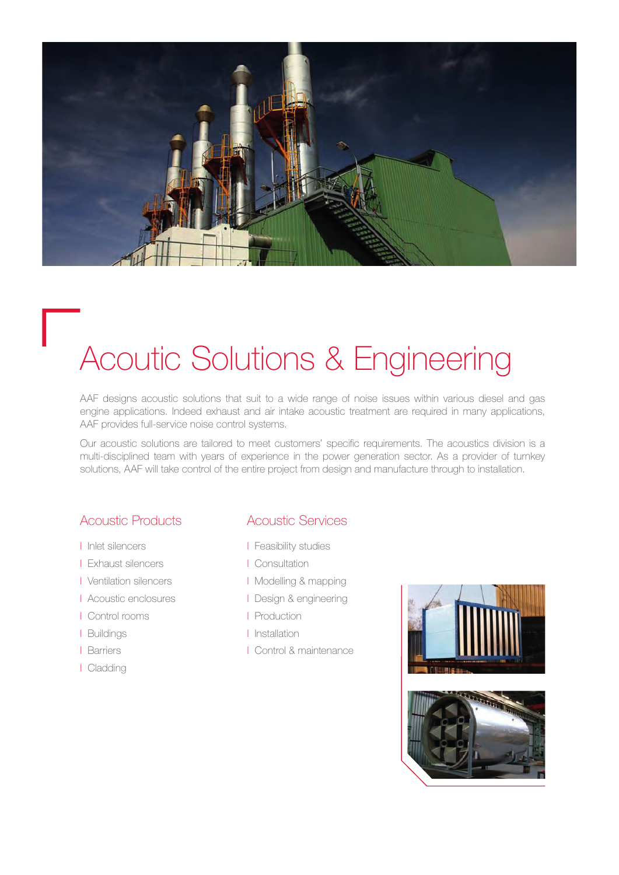

### Acoutic Solutions & Engineering

AAF designs acoustic solutions that suit to a wide range of noise issues within various diesel and gas engine applications. Indeed exhaust and air intake acoustic treatment are required in many applications, AAF provides full-service noise control systems.

Our acoustic solutions are tailored to meet customers' specific requirements. The acoustics division is a multi-disciplined team with years of experience in the power generation sector. As a provider of turnkey solutions, AAF will take control of the entire project from design and manufacture through to installation.

### Acoustic Products

- I Inlet silencers
- I Exhaust silencers
- I Ventilation silencers
- I Acoustic enclosures
- I Control rooms
- I Buildings
- I Barriers
- I Cladding

### Acoustic Services

- I Feasibility studies
- I Consultation
- I Modelling & mapping
- I Design & engineering
- I Production
- I Installation
- I Control & maintenance